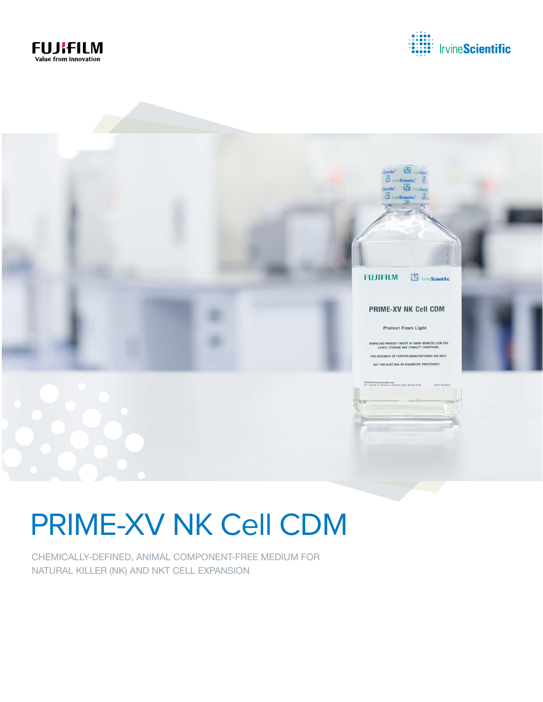





# PRIME-XV NK Cell CDM

CHEMICALLY-DEFINED, ANIMAL COMPONENT-FREE MEDIUM FOR NATURAL KILLER (NK) AND NKT CELL EXPANSION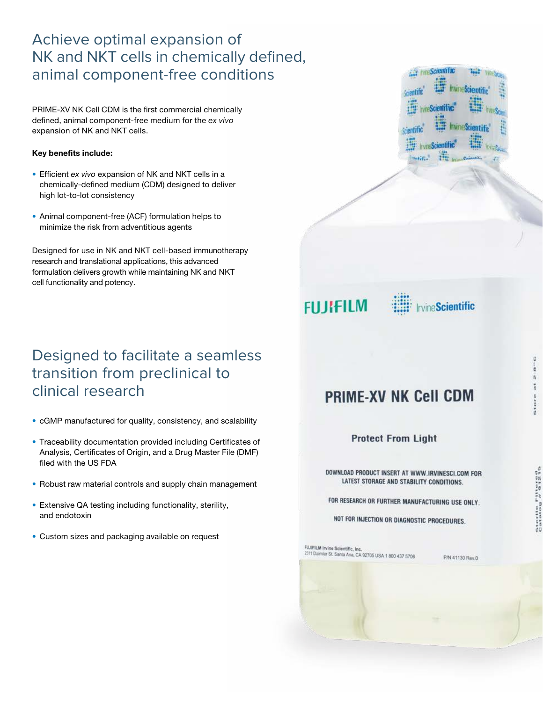## Achieve optimal expansion of NK and NKT cells in chemically defined, animal component-free conditions

PRIME-XV NK Cell CDM is the first commercial chemically defined, animal component-free medium for the *ex vivo* expansion of NK and NKT cells.

#### Key benefits include:

- Efficient *ex vivo* expansion of NK and NKT cells in a chemically-defined medium (CDM) designed to deliver high lot-to-lot consistency
- Animal component-free (ACF) formulation helps to minimize the risk from adventitious agents

Designed for use in NK and NKT cell-based immunotherapy research and translational applications, this advanced formulation delivers growth while maintaining NK and NKT cell functionality and potency.

## Designed to facilitate a seamless transition from preclinical to clinical research

- cGMP manufactured for quality, consistency, and scalability
- Traceability documentation provided including Certificates of Analysis, Certificates of Origin, and a Drug Master File (DMF) filed with the US FDA
- Robust raw material controls and supply chain management
- Extensive QA testing including functionality, sterility, and endotoxin
- Custom sizes and packaging available on request







#### **PRIME-XV NK Cell CDM**

**Protect From Light** 

DOWNLOAD PRODUCT INSERT AT WWW.IRVINESCI.COM FOR LATEST STORAGE AND STABILITY CONDITIONS.

FOR RESEARCH OR FURTHER MANUFACTURING USE ONLY.

NOT FOR INJECTION OR DIAGNOSTIC PROCEDURES.

FUJIFILM Irvine Scientific, Inc.<br>2511 Daimler St. Santa Ana, CA 92705 USA 1 800 437 5706

P/N 41130 Rev.0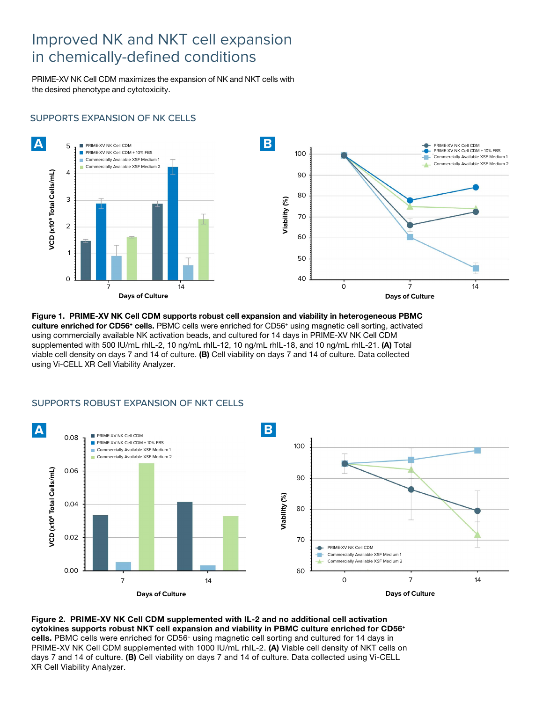#### Improved NK and NKT cell expansion in chemically-defined conditions

PRIME-XV NK Cell CDM maximizes the expansion of NK and NKT cells with the desired phenotype and cytotoxicity.

#### SUPPORTS EXPANSION OF NK CELLS



Figure 1. PRIME-XV NK Cell CDM supports robust cell expansion and viability in heterogeneous PBMC culture enriched for CD56+ cells. PBMC cells were enriched for CD56+ using magnetic cell sorting, activated using commercially available NK activation beads, and cultured for 14 days in PRIME-XV NK Cell CDM supplemented with 500 IU/mL rhIL-2, 10 ng/mL rhIL-12, 10 ng/mL rhIL-18, and 10 ng/mL rhIL-21. (A) Total viable cell density on days 7 and 14 of culture. (B) Cell viability on days 7 and 14 of culture. Data collected using Vi-CELL XR Cell Viability Analyzer.



#### SUPPORTS ROBUST EXPANSION OF NKT CELLS

Figure 2. PRIME-XV NK Cell CDM supplemented with IL-2 and no additional cell activation cytokines supports robust NKT cell expansion and viability in PBMC culture enriched for CD56+ cells. PBMC cells were enriched for CD56<sup>+</sup> using magnetic cell sorting and cultured for 14 days in PRIME-XV NK Cell CDM supplemented with 1000 IU/mL rhIL-2. (A) Viable cell density of NKT cells on days 7 and 14 of culture. (B) Cell viability on days 7 and 14 of culture. Data collected using Vi-CELL XR Cell Viability Analyzer.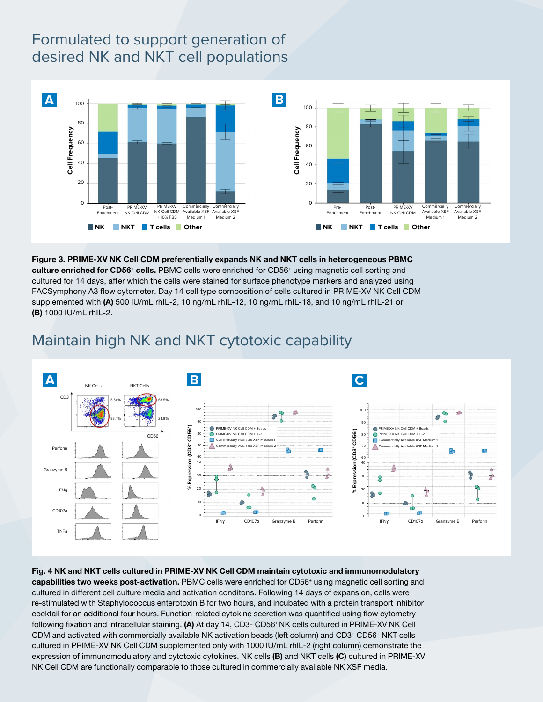## Formulated to support generation of desired NK and NKT cell populations



Figure 3. PRIME-XV NK Cell CDM preferentially expands NK and NKT cells in heterogeneous PBMC culture enriched for CD56+ cells. PBMC cells were enriched for CD56+ using magnetic cell sorting and cultured for 14 days, after which the cells were stained for surface phenotype markers and analyzed using FACSymphony A3 flow cytometer. Day 14 cell type composition of cells cultured in PRIME-XV NK Cell CDM supplemented with (A) 500 IU/mL rhIL-2, 10 ng/mL rhIL-12, 10 ng/mL rhIL-18, and 10 ng/mL rhIL-21 or (B) 1000 IU/mL rhIL-2.



#### Maintain high NK and NKT cytotoxic capability

Fig. 4 NK and NKT cells cultured in PRIME-XV NK Cell CDM maintain cytotoxic and immunomodulatory capabilities two weeks post-activation. PBMC cells were enriched for CD56<sup>+</sup> using magnetic cell sorting and cultured in different cell culture media and activation conditons. Following 14 days of expansion, cells were re-stimulated with Staphylococcus enterotoxin B for two hours, and incubated with a protein transport inhibitor cocktail for an additional four hours. Function-related cytokine secretion was quantified using flow cytometry following fixation and intracellular staining. (A) At day 14, CD3- CD56+ NK cells cultured in PRIME-XV NK Cell CDM and activated with commercially available NK activation beads (left column) and CD3+ CD56+ NKT cells cultured in PRIME-XV NK Cell CDM supplemented only with 1000 IU/mL rhIL-2 (right column) demonstrate the expression of immunomodulatory and cytotoxic cytokines. NK cells (B) and NKT cells (C) cultured in PRIME-XV NK Cell CDM are functionally comparable to those cultured in commercially available NK XSF media.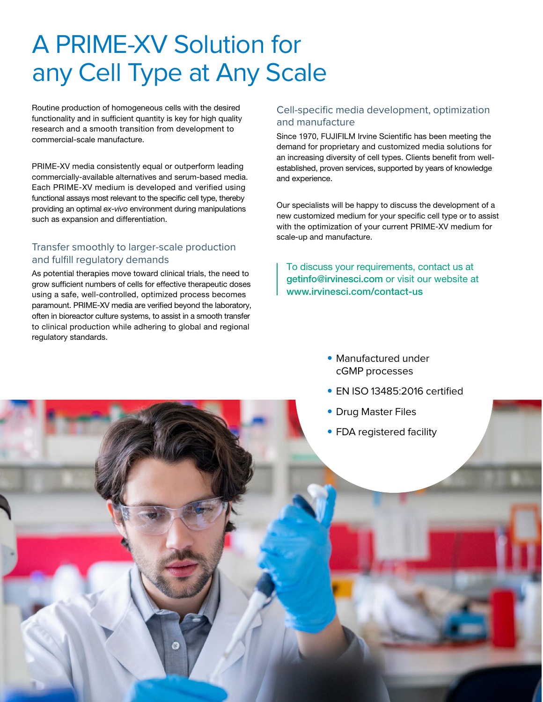## A PRIME-XV Solution for any Cell Type at Any Scale

Routine production of homogeneous cells with the desired functionality and in sufficient quantity is key for high quality research and a smooth transition from development to commercial-scale manufacture.

PRIME-XV media consistently equal or outperform leading commercially-available alternatives and serum-based media. Each PRIME-XV medium is developed and verified using functional assays most relevant to the specific cell type, thereby providing an optimal *ex-vivo* environment during manipulations such as expansion and differentiation.

#### Transfer smoothly to larger-scale production and fulfill regulatory demands

As potential therapies move toward clinical trials, the need to grow sufficient numbers of cells for effective therapeutic doses using a safe, well-controlled, optimized process becomes paramount. PRIME-XV media are verified beyond the laboratory, often in bioreactor culture systems, to assist in a smooth transfer to clinical production while adhering to global and regional regulatory standards.

#### Cell-specific media development, optimization and manufacture

Since 1970, FUJIFILM Irvine Scientific has been meeting the demand for proprietary and customized media solutions for an increasing diversity of cell types. Clients benefit from wellestablished, proven services, supported by years of knowledge and experience.

Our specialists will be happy to discuss the development of a new customized medium for your specific cell type or to assist with the optimization of your current PRIME-XV medium for scale-up and manufacture.

To discuss your requirements, contact us at getinfo@irvinesci.com or visit our website at www.irvinesci.com/contact-us

- Manufactured under cGMP processes
- EN ISO 13485:2016 certified
- Drug Master Files
- FDA registered facility